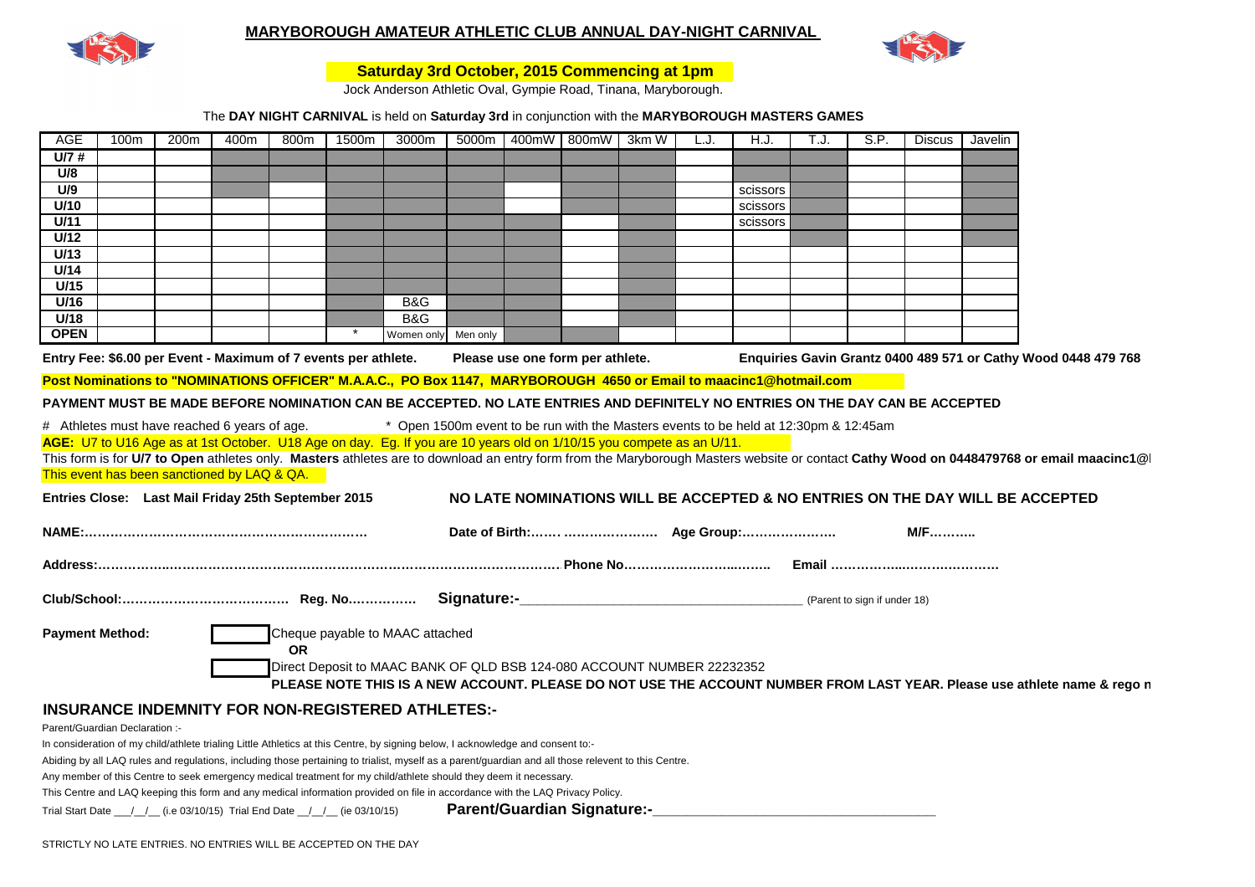

## **MARYBOROUGH AMATEUR ATHLETIC CLUB ANNUAL DAY-NIGHT CARNIVAL**



## **Saturday 3rd October, 2015 Commencing at 1pm**

Jock Anderson Athletic Oval, Gympie Road, Tinana, Maryborough.

## The **DAY NIGHT CARNIVAL** is held on **Saturday 3rd** in conjunction with the **MARYBOROUGH MASTERS GAMES**

| U/7#<br>U/8<br>U/9<br>scissors<br>U/10<br>scissors<br>U/11<br>scissors<br>U/12                                                                                                                                                                                                          |
|-----------------------------------------------------------------------------------------------------------------------------------------------------------------------------------------------------------------------------------------------------------------------------------------|
|                                                                                                                                                                                                                                                                                         |
|                                                                                                                                                                                                                                                                                         |
|                                                                                                                                                                                                                                                                                         |
|                                                                                                                                                                                                                                                                                         |
|                                                                                                                                                                                                                                                                                         |
| U/13                                                                                                                                                                                                                                                                                    |
| U/14                                                                                                                                                                                                                                                                                    |
| U/15                                                                                                                                                                                                                                                                                    |
| U/16<br>B&G                                                                                                                                                                                                                                                                             |
| U/18<br>B&G                                                                                                                                                                                                                                                                             |
| <b>OPEN</b><br>Men only<br>Women only                                                                                                                                                                                                                                                   |
| Entry Fee: \$6.00 per Event - Maximum of 7 events per athlete.<br>Enquiries Gavin Grantz 0400 489 571 or Cathy Wood 0448 479 768<br>Please use one form per athlete.                                                                                                                    |
| Post Nominations to "NOMINATIONS OFFICER" M.A.A.C., PO Box 1147, MARYBOROUGH 4650 or Email to maacinc1@hotmail.com                                                                                                                                                                      |
| PAYMENT MUST BE MADE BEFORE NOMINATION CAN BE ACCEPTED. NO LATE ENTRIES AND DEFINITELY NO ENTRIES ON THE DAY CAN BE ACCEPTED                                                                                                                                                            |
| * Open 1500m event to be run with the Masters events to be held at 12:30pm & 12:45am<br># Athletes must have reached 6 years of age.                                                                                                                                                    |
| AGE: U7 to U16 Age as at 1st October. U18 Age on day. Eg. If you are 10 years old on 1/10/15 you compete as an U/11.                                                                                                                                                                    |
| This form is for U/7 to Open athletes only. Masters athletes are to download an entry form from the Maryborough Masters website or contact Cathy Wood on 0448479768 or email maacinc1@                                                                                                  |
| This event has been sanctioned by LAQ & QA.                                                                                                                                                                                                                                             |
| Entries Close: Last Mail Friday 25th September 2015<br>NO LATE NOMINATIONS WILL BE ACCEPTED & NO ENTRIES ON THE DAY WILL BE ACCEPTED                                                                                                                                                    |
| <b>M/F</b>                                                                                                                                                                                                                                                                              |
|                                                                                                                                                                                                                                                                                         |
|                                                                                                                                                                                                                                                                                         |
|                                                                                                                                                                                                                                                                                         |
| (Parent to sign if under 18)                                                                                                                                                                                                                                                            |
| <b>Payment Method:</b><br>Cheque payable to MAAC attached                                                                                                                                                                                                                               |
| <b>OR</b>                                                                                                                                                                                                                                                                               |
| Direct Deposit to MAAC BANK OF QLD BSB 124-080 ACCOUNT NUMBER 22232352                                                                                                                                                                                                                  |
| PLEASE NOTE THIS IS A NEW ACCOUNT. PLEASE DO NOT USE THE ACCOUNT NUMBER FROM LAST YEAR. Please use athlete name & rego n                                                                                                                                                                |
|                                                                                                                                                                                                                                                                                         |
| <b>INSURANCE INDEMNITY FOR NON-REGISTERED ATHLETES:-</b>                                                                                                                                                                                                                                |
| Parent/Guardian Declaration :-                                                                                                                                                                                                                                                          |
| In consideration of my child/athlete trialing Little Athletics at this Centre, by signing below, I acknowledge and consent to:-<br>Abiding by all LAQ rules and regulations, including those pertaining to trialist, myself as a parent/guardian and all those relevent to this Centre. |
| Any member of this Centre to seek emergency medical treatment for my child/athlete should they deem it necessary.                                                                                                                                                                       |

This Centre and LAQ keeping this form and any medical information provided on file in accordance with the LAQ Privacy Policy.

Parent/Guardian Signature:-\_\_\_\_\_\_\_\_\_\_\_\_\_\_\_\_ Trial Start Date \_\_\_/\_\_/\_\_ (i.e 03/10/15) Trial End Date \_\_/\_\_/\_\_ (ie 03/10/15)